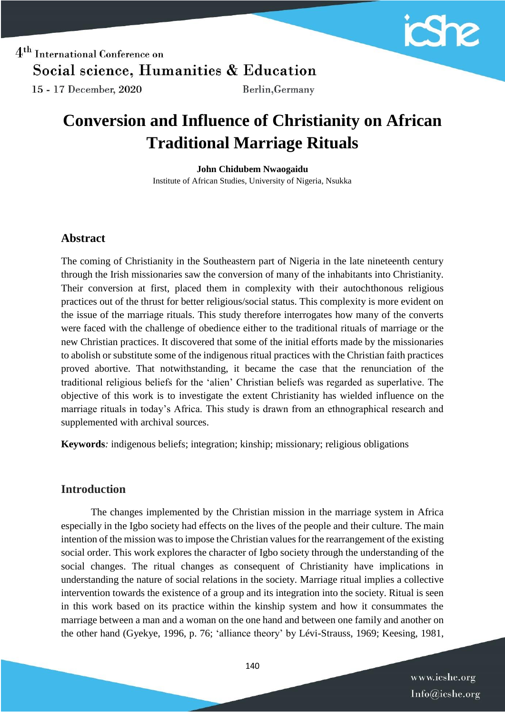

 $4<sup>th</sup>$  International Conference on Social science, Humanities & Education 15 - 17 December, 2020 Berlin, Germany

# **Conversion and Influence of Christianity on African Traditional Marriage Rituals**

**John Chidubem Nwaogaidu** Institute of African Studies, University of Nigeria, Nsukka

### **Abstract**

The coming of Christianity in the Southeastern part of Nigeria in the late nineteenth century through the Irish missionaries saw the conversion of many of the inhabitants into Christianity. Their conversion at first, placed them in complexity with their autochthonous religious practices out of the thrust for better religious/social status. This complexity is more evident on the issue of the marriage rituals. This study therefore interrogates how many of the converts were faced with the challenge of obedience either to the traditional rituals of marriage or the new Christian practices. It discovered that some of the initial efforts made by the missionaries to abolish or substitute some of the indigenous ritual practices with the Christian faith practices proved abortive. That notwithstanding, it became the case that the renunciation of the traditional religious beliefs for the 'alien' Christian beliefs was regarded as superlative. The objective of this work is to investigate the extent Christianity has wielded influence on the marriage rituals in today's Africa. This study is drawn from an ethnographical research and supplemented with archival sources.

**Keywords***:* indigenous beliefs; integration; kinship; missionary; religious obligations

### **Introduction**

The changes implemented by the Christian mission in the marriage system in Africa especially in the Igbo society had effects on the lives of the people and their culture. The main intention of the mission was to impose the Christian values for the rearrangement of the existing social order. This work explores the character of Igbo society through the understanding of the social changes. The ritual changes as consequent of Christianity have implications in understanding the nature of social relations in the society. Marriage ritual implies a collective intervention towards the existence of a group and its integration into the society. Ritual is seen in this work based on its practice within the kinship system and how it consummates the marriage between a man and a woman on the one hand and between one family and another on the other hand (Gyekye, 1996, p. 76; 'alliance theory' by Lévi-Strauss, 1969; Keesing, 1981,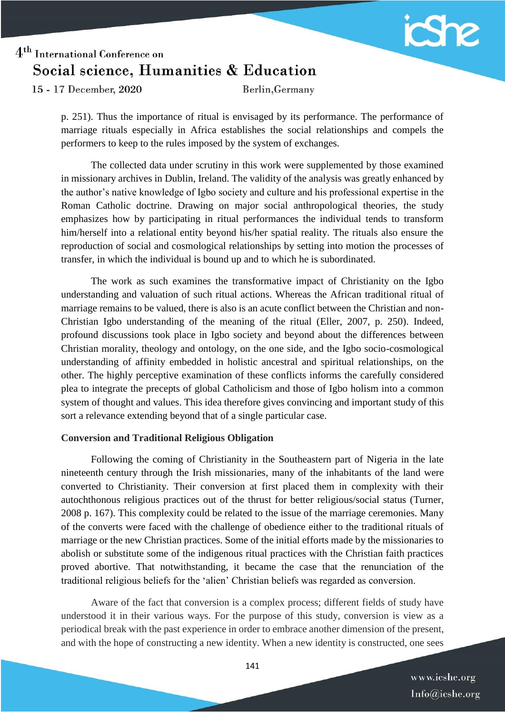

15 - 17 December, 2020

Berlin, Germany

p. 251). Thus the importance of ritual is envisaged by its performance. The performance of marriage rituals especially in Africa establishes the social relationships and compels the performers to keep to the rules imposed by the system of exchanges.

The collected data under scrutiny in this work were supplemented by those examined in missionary archives in Dublin, Ireland. The validity of the analysis was greatly enhanced by the author's native knowledge of Igbo society and culture and his professional expertise in the Roman Catholic doctrine. Drawing on major social anthropological theories, the study emphasizes how by participating in ritual performances the individual tends to transform him/herself into a relational entity beyond his/her spatial reality. The rituals also ensure the reproduction of social and cosmological relationships by setting into motion the processes of transfer, in which the individual is bound up and to which he is subordinated.

The work as such examines the transformative impact of Christianity on the Igbo understanding and valuation of such ritual actions. Whereas the African traditional ritual of marriage remains to be valued, there is also is an acute conflict between the Christian and non-Christian Igbo understanding of the meaning of the ritual (Eller, 2007, p. 250). Indeed, profound discussions took place in Igbo society and beyond about the differences between Christian morality, theology and ontology, on the one side, and the Igbo socio-cosmological understanding of affinity embedded in holistic ancestral and spiritual relationships, on the other. The highly perceptive examination of these conflicts informs the carefully considered plea to integrate the precepts of global Catholicism and those of Igbo holism into a common system of thought and values. This idea therefore gives convincing and important study of this sort a relevance extending beyond that of a single particular case.

#### **Conversion and Traditional Religious Obligation**

Following the coming of Christianity in the Southeastern part of Nigeria in the late nineteenth century through the Irish missionaries, many of the inhabitants of the land were converted to Christianity. Their conversion at first placed them in complexity with their autochthonous religious practices out of the thrust for better religious/social status (Turner, 2008 p. 167). This complexity could be related to the issue of the marriage ceremonies. Many of the converts were faced with the challenge of obedience either to the traditional rituals of marriage or the new Christian practices. Some of the initial efforts made by the missionaries to abolish or substitute some of the indigenous ritual practices with the Christian faith practices proved abortive. That notwithstanding, it became the case that the renunciation of the traditional religious beliefs for the 'alien' Christian beliefs was regarded as conversion.

Aware of the fact that conversion is a complex process; different fields of study have understood it in their various ways. For the purpose of this study, conversion is view as a periodical break with the past experience in order to embrace another dimension of the present, and with the hope of constructing a new identity. When a new identity is constructed, one sees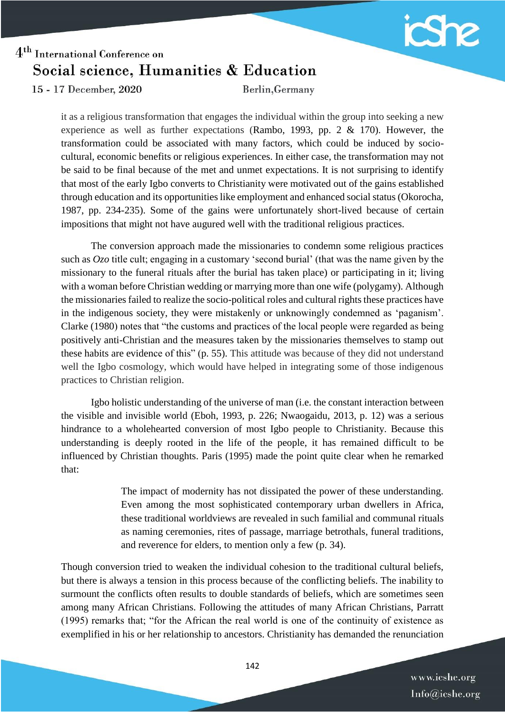

15 - 17 December, 2020

Berlin, Germany

it as a religious transformation that engages the individual within the group into seeking a new experience as well as further expectations (Rambo, 1993, pp. 2 & 170). However, the transformation could be associated with many factors, which could be induced by sociocultural, economic benefits or religious experiences. In either case, the transformation may not be said to be final because of the met and unmet expectations. It is not surprising to identify that most of the early Igbo converts to Christianity were motivated out of the gains established through education and its opportunities like employment and enhanced social status (Okorocha, 1987, pp. 234-235). Some of the gains were unfortunately short-lived because of certain impositions that might not have augured well with the traditional religious practices.

The conversion approach made the missionaries to condemn some religious practices such as *Ozo* title cult; engaging in a customary 'second burial' (that was the name given by the missionary to the funeral rituals after the burial has taken place) or participating in it; living with a woman before Christian wedding or marrying more than one wife (polygamy). Although the missionaries failed to realize the socio-political roles and cultural rights these practices have in the indigenous society, they were mistakenly or unknowingly condemned as 'paganism'. Clarke (1980) notes that "the customs and practices of the local people were regarded as being positively anti-Christian and the measures taken by the missionaries themselves to stamp out these habits are evidence of this" (p. 55). This attitude was because of they did not understand well the Igbo cosmology, which would have helped in integrating some of those indigenous practices to Christian religion.

Igbo holistic understanding of the universe of man (i.e. the constant interaction between the visible and invisible world (Eboh, 1993, p. 226; Nwaogaidu, 2013, p. 12) was a serious hindrance to a wholehearted conversion of most Igbo people to Christianity. Because this understanding is deeply rooted in the life of the people, it has remained difficult to be influenced by Christian thoughts. Paris (1995) made the point quite clear when he remarked that:

> The impact of modernity has not dissipated the power of these understanding. Even among the most sophisticated contemporary urban dwellers in Africa, these traditional worldviews are revealed in such familial and communal rituals as naming ceremonies, rites of passage, marriage betrothals, funeral traditions, and reverence for elders, to mention only a few (p. 34).

Though conversion tried to weaken the individual cohesion to the traditional cultural beliefs, but there is always a tension in this process because of the conflicting beliefs. The inability to surmount the conflicts often results to double standards of beliefs, which are sometimes seen among many African Christians. Following the attitudes of many African Christians, Parratt (1995) remarks that; "for the African the real world is one of the continuity of existence as exemplified in his or her relationship to ancestors. Christianity has demanded the renunciation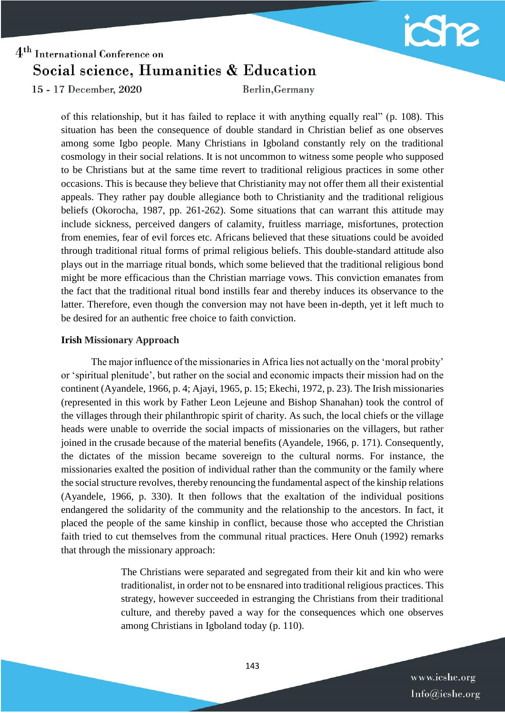

15 - 17 December, 2020

Berlin, Germany

of this relationship, but it has failed to replace it with anything equally real" (p. 108). This situation has been the consequence of double standard in Christian belief as one observes among some Igbo people. Many Christians in Igboland constantly rely on the traditional cosmology in their social relations. It is not uncommon to witness some people who supposed to be Christians but at the same time revert to traditional religious practices in some other occasions. This is because they believe that Christianity may not offer them all their existential appeals. They rather pay double allegiance both to Christianity and the traditional religious beliefs (Okorocha, 1987, pp. 261-262). Some situations that can warrant this attitude may include sickness, perceived dangers of calamity, fruitless marriage, misfortunes, protection from enemies, fear of evil forces etc. Africans believed that these situations could be avoided through traditional ritual forms of primal religious beliefs. This double-standard attitude also plays out in the marriage ritual bonds, which some believed that the traditional religious bond might be more efficacious than the Christian marriage vows. This conviction emanates from the fact that the traditional ritual bond instills fear and thereby induces its observance to the latter. Therefore, even though the conversion may not have been in-depth, yet it left much to be desired for an authentic free choice to faith conviction.

#### **Irish Missionary Approach**

The major influence of the missionaries in Africa lies not actually on the 'moral probity' or 'spiritual plenitude', but rather on the social and economic impacts their mission had on the continent (Ayandele, 1966, p. 4; Ajayi, 1965, p. 15; Ekechi, 1972, p. 23). The Irish missionaries (represented in this work by Father Leon Lejeune and Bishop Shanahan) took the control of the villages through their philanthropic spirit of charity. As such, the local chiefs or the village heads were unable to override the social impacts of missionaries on the villagers, but rather joined in the crusade because of the material benefits (Ayandele, 1966, p. 171). Consequently, the dictates of the mission became sovereign to the cultural norms. For instance, the missionaries exalted the position of individual rather than the community or the family where the social structure revolves, thereby renouncing the fundamental aspect of the kinship relations (Ayandele, 1966, p. 330). It then follows that the exaltation of the individual positions endangered the solidarity of the community and the relationship to the ancestors. In fact, it placed the people of the same kinship in conflict, because those who accepted the Christian faith tried to cut themselves from the communal ritual practices. Here Onuh (1992) remarks that through the missionary approach:

> The Christians were separated and segregated from their kit and kin who were traditionalist, in order not to be ensnared into traditional religious practices. This strategy, however succeeded in estranging the Christians from their traditional culture, and thereby paved a way for the consequences which one observes among Christians in Igboland today (p. 110).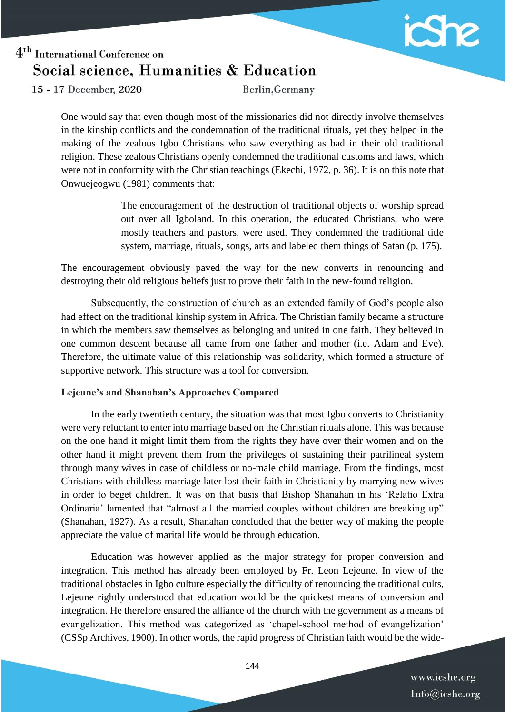

15 - 17 December, 2020

Berlin, Germany

One would say that even though most of the missionaries did not directly involve themselves in the kinship conflicts and the condemnation of the traditional rituals, yet they helped in the making of the zealous Igbo Christians who saw everything as bad in their old traditional religion. These zealous Christians openly condemned the traditional customs and laws, which were not in conformity with the Christian teachings (Ekechi, 1972, p. 36). It is on this note that Onwuejeogwu (1981) comments that:

> The encouragement of the destruction of traditional objects of worship spread out over all Igboland. In this operation, the educated Christians, who were mostly teachers and pastors, were used. They condemned the traditional title system, marriage, rituals, songs, arts and labeled them things of Satan (p. 175).

The encouragement obviously paved the way for the new converts in renouncing and destroying their old religious beliefs just to prove their faith in the new-found religion.

Subsequently, the construction of church as an extended family of God's people also had effect on the traditional kinship system in Africa. The Christian family became a structure in which the members saw themselves as belonging and united in one faith. They believed in one common descent because all came from one father and mother (i.e. Adam and Eve). Therefore, the ultimate value of this relationship was solidarity, which formed a structure of supportive network. This structure was a tool for conversion.

#### **Lejeune's and Shanahan's Approaches Compared**

In the early twentieth century, the situation was that most Igbo converts to Christianity were very reluctant to enter into marriage based on the Christian rituals alone. This was because on the one hand it might limit them from the rights they have over their women and on the other hand it might prevent them from the privileges of sustaining their patrilineal system through many wives in case of childless or no-male child marriage. From the findings, most Christians with childless marriage later lost their faith in Christianity by marrying new wives in order to beget children. It was on that basis that Bishop Shanahan in his 'Relatio Extra Ordinaria' lamented that "almost all the married couples without children are breaking up" (Shanahan, 1927). As a result, Shanahan concluded that the better way of making the people appreciate the value of marital life would be through education.

Education was however applied as the major strategy for proper conversion and integration. This method has already been employed by Fr. Leon Lejeune. In view of the traditional obstacles in Igbo culture especially the difficulty of renouncing the traditional cults, Lejeune rightly understood that education would be the quickest means of conversion and integration. He therefore ensured the alliance of the church with the government as a means of evangelization. This method was categorized as 'chapel-school method of evangelization' (CSSp Archives, 1900). In other words, the rapid progress of Christian faith would be the wide-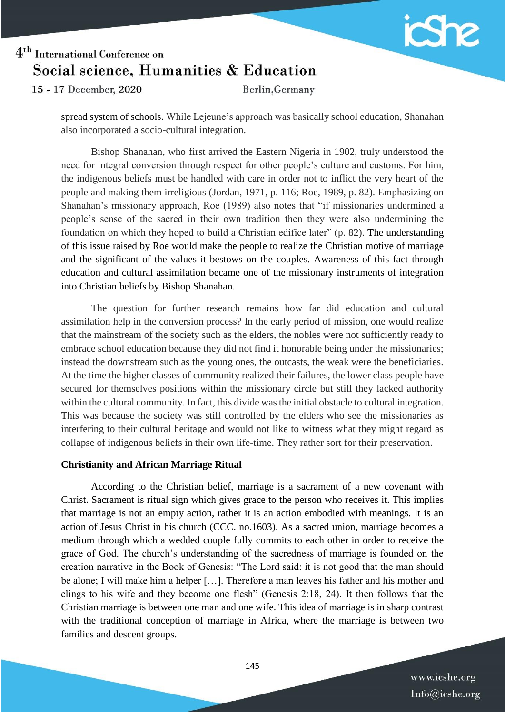

15 - 17 December, 2020

Berlin, Germany

spread system of schools. While Lejeune's approach was basically school education, Shanahan also incorporated a socio-cultural integration.

Bishop Shanahan, who first arrived the Eastern Nigeria in 1902, truly understood the need for integral conversion through respect for other people's culture and customs. For him, the indigenous beliefs must be handled with care in order not to inflict the very heart of the people and making them irreligious (Jordan, 1971, p. 116; Roe, 1989, p. 82). Emphasizing on Shanahan's missionary approach, Roe (1989) also notes that "if missionaries undermined a people's sense of the sacred in their own tradition then they were also undermining the foundation on which they hoped to build a Christian edifice later" (p. 82). The understanding of this issue raised by Roe would make the people to realize the Christian motive of marriage and the significant of the values it bestows on the couples. Awareness of this fact through education and cultural assimilation became one of the missionary instruments of integration into Christian beliefs by Bishop Shanahan.

The question for further research remains how far did education and cultural assimilation help in the conversion process? In the early period of mission, one would realize that the mainstream of the society such as the elders, the nobles were not sufficiently ready to embrace school education because they did not find it honorable being under the missionaries; instead the downstream such as the young ones, the outcasts, the weak were the beneficiaries. At the time the higher classes of community realized their failures, the lower class people have secured for themselves positions within the missionary circle but still they lacked authority within the cultural community. In fact, this divide was the initial obstacle to cultural integration. This was because the society was still controlled by the elders who see the missionaries as interfering to their cultural heritage and would not like to witness what they might regard as collapse of indigenous beliefs in their own life-time. They rather sort for their preservation.

#### **Christianity and African Marriage Ritual**

According to the Christian belief, marriage is a sacrament of a new covenant with Christ. Sacrament is ritual sign which gives grace to the person who receives it. This implies that marriage is not an empty action, rather it is an action embodied with meanings. It is an action of Jesus Christ in his church (CCC. no.1603). As a sacred union, marriage becomes a medium through which a wedded couple fully commits to each other in order to receive the grace of God. The church's understanding of the sacredness of marriage is founded on the creation narrative in the Book of Genesis: "The Lord said: it is not good that the man should be alone; I will make him a helper […]. Therefore a man leaves his father and his mother and clings to his wife and they become one flesh" (Genesis 2:18, 24). It then follows that the Christian marriage is between one man and one wife. This idea of marriage is in sharp contrast with the traditional conception of marriage in Africa, where the marriage is between two families and descent groups.

> www.icshe.org Info@icshe.org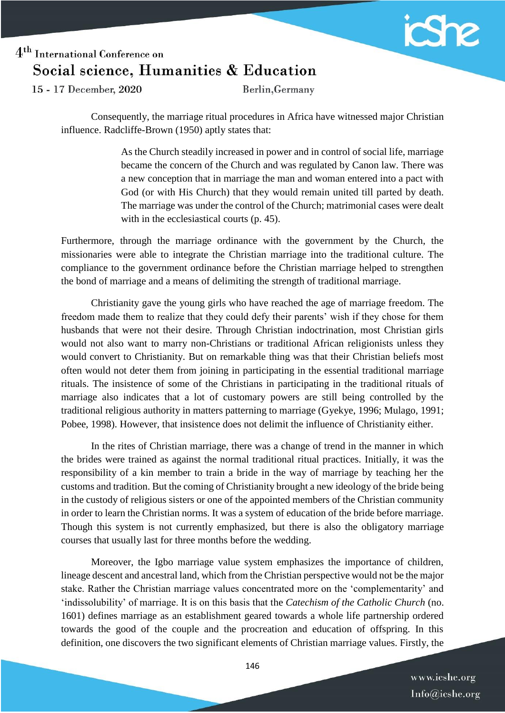

15 - 17 December, 2020

Berlin, Germany

Consequently, the marriage ritual procedures in Africa have witnessed major Christian influence. Radcliffe-Brown (1950) aptly states that:

> As the Church steadily increased in power and in control of social life, marriage became the concern of the Church and was regulated by Canon law. There was a new conception that in marriage the man and woman entered into a pact with God (or with His Church) that they would remain united till parted by death. The marriage was under the control of the Church; matrimonial cases were dealt with in the ecclesiastical courts (p. 45).

Furthermore, through the marriage ordinance with the government by the Church, the missionaries were able to integrate the Christian marriage into the traditional culture. The compliance to the government ordinance before the Christian marriage helped to strengthen the bond of marriage and a means of delimiting the strength of traditional marriage.

Christianity gave the young girls who have reached the age of marriage freedom. The freedom made them to realize that they could defy their parents' wish if they chose for them husbands that were not their desire. Through Christian indoctrination, most Christian girls would not also want to marry non-Christians or traditional African religionists unless they would convert to Christianity. But on remarkable thing was that their Christian beliefs most often would not deter them from joining in participating in the essential traditional marriage rituals. The insistence of some of the Christians in participating in the traditional rituals of marriage also indicates that a lot of customary powers are still being controlled by the traditional religious authority in matters patterning to marriage (Gyekye, 1996; Mulago, 1991; Pobee, 1998). However, that insistence does not delimit the influence of Christianity either.

In the rites of Christian marriage, there was a change of trend in the manner in which the brides were trained as against the normal traditional ritual practices. Initially, it was the responsibility of a kin member to train a bride in the way of marriage by teaching her the customs and tradition. But the coming of Christianity brought a new ideology of the bride being in the custody of religious sisters or one of the appointed members of the Christian community in order to learn the Christian norms. It was a system of education of the bride before marriage. Though this system is not currently emphasized, but there is also the obligatory marriage courses that usually last for three months before the wedding.

Moreover, the Igbo marriage value system emphasizes the importance of children, lineage descent and ancestral land, which from the Christian perspective would not be the major stake. Rather the Christian marriage values concentrated more on the 'complementarity' and 'indissolubility' of marriage. It is on this basis that the *Catechism of the Catholic Church* (no. 1601) defines marriage as an establishment geared towards a whole life partnership ordered towards the good of the couple and the procreation and education of offspring. In this definition, one discovers the two significant elements of Christian marriage values. Firstly, the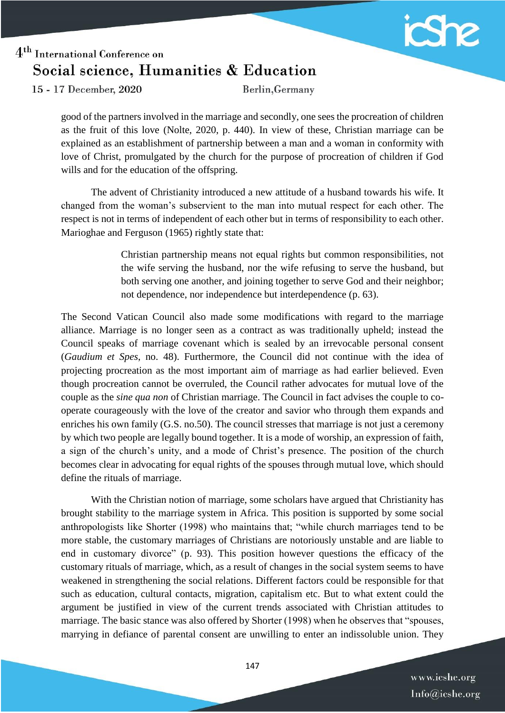

15 - 17 December, 2020

Berlin, Germany

good of the partners involved in the marriage and secondly, one sees the procreation of children as the fruit of this love (Nolte, 2020, p. 440). In view of these, Christian marriage can be explained as an establishment of partnership between a man and a woman in conformity with love of Christ, promulgated by the church for the purpose of procreation of children if God wills and for the education of the offspring.

The advent of Christianity introduced a new attitude of a husband towards his wife. It changed from the woman's subservient to the man into mutual respect for each other. The respect is not in terms of independent of each other but in terms of responsibility to each other. Marioghae and Ferguson (1965) rightly state that:

> Christian partnership means not equal rights but common responsibilities, not the wife serving the husband, nor the wife refusing to serve the husband, but both serving one another, and joining together to serve God and their neighbor; not dependence, nor independence but interdependence (p. 63).

The Second Vatican Council also made some modifications with regard to the marriage alliance. Marriage is no longer seen as a contract as was traditionally upheld; instead the Council speaks of marriage covenant which is sealed by an irrevocable personal consent (*Gaudium et Spes*, no. 48). Furthermore, the Council did not continue with the idea of projecting procreation as the most important aim of marriage as had earlier believed. Even though procreation cannot be overruled, the Council rather advocates for mutual love of the couple as the *sine qua non* of Christian marriage. The Council in fact advises the couple to cooperate courageously with the love of the creator and savior who through them expands and enriches his own family (G.S. no.50). The council stresses that marriage is not just a ceremony by which two people are legally bound together. It is a mode of worship, an expression of faith, a sign of the church's unity, and a mode of Christ's presence. The position of the church becomes clear in advocating for equal rights of the spouses through mutual love, which should define the rituals of marriage.

With the Christian notion of marriage, some scholars have argued that Christianity has brought stability to the marriage system in Africa. This position is supported by some social anthropologists like Shorter (1998) who maintains that; "while church marriages tend to be more stable, the customary marriages of Christians are notoriously unstable and are liable to end in customary divorce" (p. 93). This position however questions the efficacy of the customary rituals of marriage, which, as a result of changes in the social system seems to have weakened in strengthening the social relations. Different factors could be responsible for that such as education, cultural contacts, migration, capitalism etc. But to what extent could the argument be justified in view of the current trends associated with Christian attitudes to marriage. The basic stance was also offered by Shorter (1998) when he observes that "spouses, marrying in defiance of parental consent are unwilling to enter an indissoluble union. They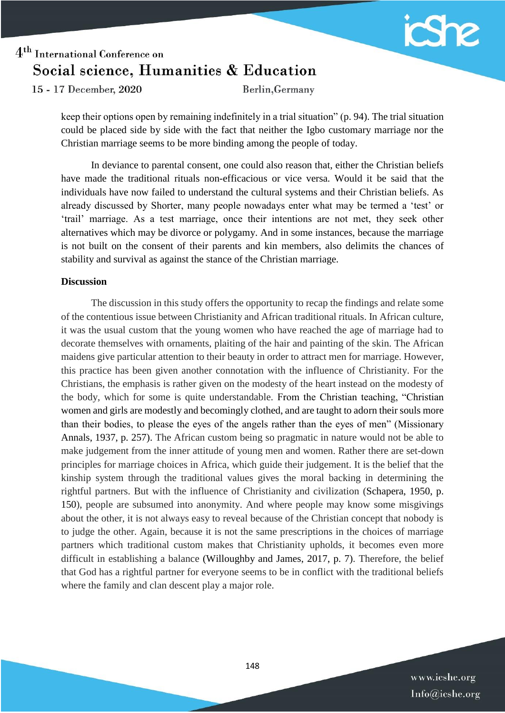

15 - 17 December, 2020

Berlin, Germany

keep their options open by remaining indefinitely in a trial situation" (p. 94). The trial situation could be placed side by side with the fact that neither the Igbo customary marriage nor the Christian marriage seems to be more binding among the people of today.

In deviance to parental consent, one could also reason that, either the Christian beliefs have made the traditional rituals non-efficacious or vice versa. Would it be said that the individuals have now failed to understand the cultural systems and their Christian beliefs. As already discussed by Shorter, many people nowadays enter what may be termed a 'test' or 'trail' marriage. As a test marriage, once their intentions are not met, they seek other alternatives which may be divorce or polygamy. And in some instances, because the marriage is not built on the consent of their parents and kin members, also delimits the chances of stability and survival as against the stance of the Christian marriage.

#### **Discussion**

The discussion in this study offers the opportunity to recap the findings and relate some of the contentious issue between Christianity and African traditional rituals. In African culture, it was the usual custom that the young women who have reached the age of marriage had to decorate themselves with ornaments, plaiting of the hair and painting of the skin. The African maidens give particular attention to their beauty in order to attract men for marriage. However, this practice has been given another connotation with the influence of Christianity. For the Christians, the emphasis is rather given on the modesty of the heart instead on the modesty of the body, which for some is quite understandable. From the Christian teaching, "Christian women and girls are modestly and becomingly clothed, and are taught to adorn their souls more than their bodies, to please the eyes of the angels rather than the eyes of men" (Missionary Annals, 1937, p. 257). The African custom being so pragmatic in nature would not be able to make judgement from the inner attitude of young men and women. Rather there are set-down principles for marriage choices in Africa, which guide their judgement. It is the belief that the kinship system through the traditional values gives the moral backing in determining the rightful partners. But with the influence of Christianity and civilization (Schapera, 1950, p. 150), people are subsumed into anonymity. And where people may know some misgivings about the other, it is not always easy to reveal because of the Christian concept that nobody is to judge the other. Again, because it is not the same prescriptions in the choices of marriage partners which traditional custom makes that Christianity upholds, it becomes even more difficult in establishing a balance (Willoughby and James, 2017, p. 7). Therefore, the belief that God has a rightful partner for everyone seems to be in conflict with the traditional beliefs where the family and clan descent play a major role.

> www.icshe.org Info@icshe.org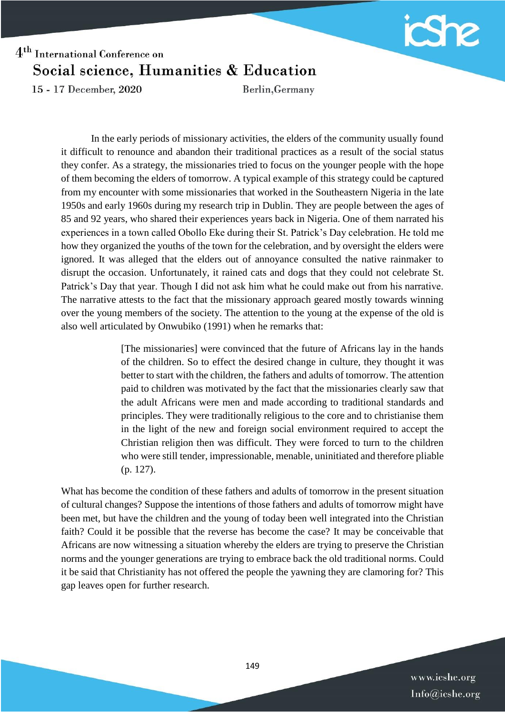

15 - 17 December, 2020

Berlin, Germany

In the early periods of missionary activities, the elders of the community usually found it difficult to renounce and abandon their traditional practices as a result of the social status they confer. As a strategy, the missionaries tried to focus on the younger people with the hope of them becoming the elders of tomorrow. A typical example of this strategy could be captured from my encounter with some missionaries that worked in the Southeastern Nigeria in the late 1950s and early 1960s during my research trip in Dublin. They are people between the ages of 85 and 92 years, who shared their experiences years back in Nigeria. One of them narrated his experiences in a town called Obollo Eke during their St. Patrick's Day celebration. He told me how they organized the youths of the town for the celebration, and by oversight the elders were ignored. It was alleged that the elders out of annoyance consulted the native rainmaker to disrupt the occasion. Unfortunately, it rained cats and dogs that they could not celebrate St. Patrick's Day that year. Though I did not ask him what he could make out from his narrative. The narrative attests to the fact that the missionary approach geared mostly towards winning over the young members of the society. The attention to the young at the expense of the old is also well articulated by Onwubiko (1991) when he remarks that:

> [The missionaries] were convinced that the future of Africans lay in the hands of the children. So to effect the desired change in culture, they thought it was better to start with the children, the fathers and adults of tomorrow. The attention paid to children was motivated by the fact that the missionaries clearly saw that the adult Africans were men and made according to traditional standards and principles. They were traditionally religious to the core and to christianise them in the light of the new and foreign social environment required to accept the Christian religion then was difficult. They were forced to turn to the children who were still tender, impressionable, menable, uninitiated and therefore pliable (p. 127).

What has become the condition of these fathers and adults of tomorrow in the present situation of cultural changes? Suppose the intentions of those fathers and adults of tomorrow might have been met, but have the children and the young of today been well integrated into the Christian faith? Could it be possible that the reverse has become the case? It may be conceivable that Africans are now witnessing a situation whereby the elders are trying to preserve the Christian norms and the younger generations are trying to embrace back the old traditional norms. Could it be said that Christianity has not offered the people the yawning they are clamoring for? This gap leaves open for further research.

> www.icshe.org Info@icshe.org

149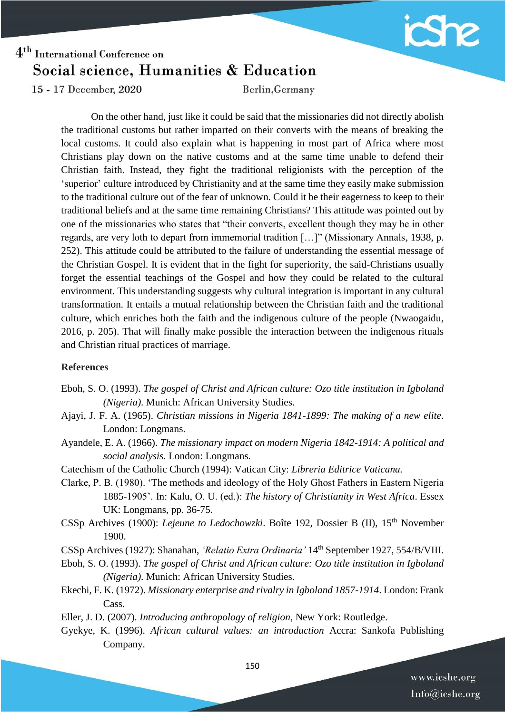

15 - 17 December, 2020

Berlin, Germany

On the other hand, just like it could be said that the missionaries did not directly abolish the traditional customs but rather imparted on their converts with the means of breaking the local customs. It could also explain what is happening in most part of Africa where most Christians play down on the native customs and at the same time unable to defend their Christian faith. Instead, they fight the traditional religionists with the perception of the 'superior' culture introduced by Christianity and at the same time they easily make submission to the traditional culture out of the fear of unknown. Could it be their eagerness to keep to their traditional beliefs and at the same time remaining Christians? This attitude was pointed out by one of the missionaries who states that "their converts, excellent though they may be in other regards, are very loth to depart from immemorial tradition […]" (Missionary Annals, 1938, p. 252). This attitude could be attributed to the failure of understanding the essential message of the Christian Gospel. It is evident that in the fight for superiority, the said-Christians usually forget the essential teachings of the Gospel and how they could be related to the cultural environment. This understanding suggests why cultural integration is important in any cultural transformation. It entails a mutual relationship between the Christian faith and the traditional culture, which enriches both the faith and the indigenous culture of the people (Nwaogaidu, 2016, p. 205). That will finally make possible the interaction between the indigenous rituals and Christian ritual practices of marriage.

#### **References**

- Eboh, S. O. (1993). *The gospel of Christ and African culture: Ozo title institution in Igboland (Nigeria)*. Munich: African University Studies.
- Ajayi, J. F. A. (1965). *Christian missions in Nigeria 1841-1899: The making of a new elite*. London: Longmans.
- Ayandele, E. A. (1966). *The missionary impact on modern Nigeria 1842-1914: A political and social analysis*. London: Longmans.
- Catechism of the Catholic Church (1994): Vatican City: *Libreria Editrice Vaticana.*
- Clarke, P. B. (1980). 'The methods and ideology of the Holy Ghost Fathers in Eastern Nigeria 1885-1905'. In: Kalu, O. U. (ed.): *The history of Christianity in West Africa*. Essex UK: Longmans, pp. 36-75.
- CSSp Archives (1900): *Lejeune to Ledochowzki*. Boîte 192, Dossier B (II), 15<sup>th</sup> November 1900.
- CSSp Archives (1927): Shanahan, *'Relatio Extra Ordinaria'* 14th September 1927, 554/B/VIII.
- Eboh, S. O. (1993). *The gospel of Christ and African culture: Ozo title institution in Igboland (Nigeria)*. Munich: African University Studies.
- Ekechi, F. K. (1972). *Missionary enterprise and rivalry in Igboland 1857-1914*. London: Frank Cass.

Eller, J. D. (2007). *Introducing anthropology of religion*, New York: Routledge.

Gyekye, K. (1996). *African cultural values: an introduction* Accra: Sankofa Publishing Company.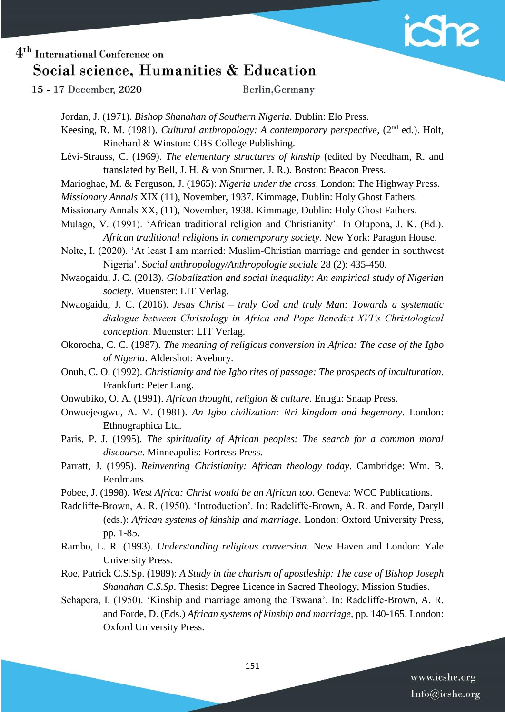

15 - 17 December, 2020

Berlin, Germany

Jordan, J. (1971). *Bishop Shanahan of Southern Nigeria*. Dublin: Elo Press.

Keesing, R. M. (1981). *Cultural anthropology: A contemporary perspective*, (2<sup>nd</sup> ed.). Holt, Rinehard & Winston: CBS College Publishing.

Lévi-Strauss, C. (1969). *The elementary structures of kinship* (edited by Needham, R. and translated by Bell, J. H. & von Sturmer, J. R.). Boston: Beacon Press.

Marioghae, M. & Ferguson, J. (1965): *Nigeria under the cross*. London: The Highway Press.

*Missionary Annals* XIX (11), November, 1937. Kimmage, Dublin: Holy Ghost Fathers.

Missionary Annals XX, (11), November, 1938. Kimmage, Dublin: Holy Ghost Fathers.

Mulago, V. (1991). 'African traditional religion and Christianity'. In Olupona, J. K. (Ed.). *African traditional religions in contemporary society.* New York: Paragon House.

Nolte, I. (2020). 'At least I am married: Muslim-Christian marriage and gender in southwest Nigeria'. *Social anthropology/Anthropologie sociale* 28 (2): 435-450.

Nwaogaidu, J. C. (2013). *Globalization and social inequality: An empirical study of Nigerian society*. Muenster: LIT Verlag.

Nwaogaidu, J. C. (2016). *Jesus Christ – truly God and truly Man: Towards a systematic dialogue between Christology in Africa and Pope Benedict XVI's Christological conception*. Muenster: LIT Verlag.

Okorocha, C. C. (1987). *The meaning of religious conversion in Africa: The case of the Igbo of Nigeria*. Aldershot: Avebury.

Onuh, C. O. (1992). *Christianity and the Igbo rites of passage: The prospects of inculturation*. Frankfurt: Peter Lang.

Onwubiko, O. A. (1991). *African thought, religion & culture*. Enugu: Snaap Press.

Onwuejeogwu, A. M. (1981). *An Igbo civilization: Nri kingdom and hegemony*. London: Ethnographica Ltd.

Paris, P. J. (1995). *The spirituality of African peoples: The search for a common moral discourse*. Minneapolis: Fortress Press.

- Parratt, J. (1995). *Reinventing Christianity: African theology today*. Cambridge: Wm. B. Eerdmans.
- Pobee, J. (1998). *West Africa: Christ would be an African too*. Geneva: WCC Publications.

Radcliffe-Brown, A. R. (1950). 'Introduction'. In: Radcliffe-Brown, A. R. and Forde, Daryll (eds.): *African systems of kinship and marriage*. London: Oxford University Press, pp. 1-85.

- Rambo, L. R. (1993). *Understanding religious conversion*. New Haven and London: Yale University Press.
- Roe, Patrick C.S.Sp. (1989): *A Study in the charism of apostleship: The case of Bishop Joseph Shanahan C.S.Sp*. Thesis: Degree Licence in Sacred Theology, Mission Studies.
- Schapera, I. (1950). 'Kinship and marriage among the Tswana'. In: Radcliffe-Brown, A. R. and Forde, D. (Eds.) *African systems of kinship and marriage,* pp. 140-165. London: Oxford University Press.